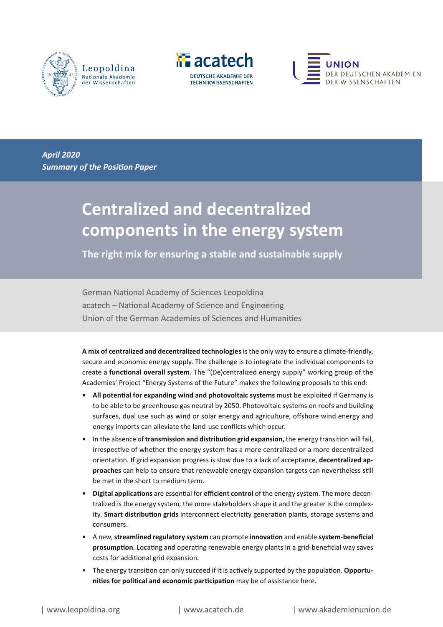





*April 2020 Summary of the Position Paper*

# **Centralized and decentralized components in the energy system**

**The right mix for ensuring a stable and sustainable supply** 

German National Academy of Sciences Leopoldina acatech – National Academy of Science and Engineering Union of the German Academies of Sciences and Humanities

**A mix of centralized and decentralized technologies** is the only way to ensure a climate-friendly, secure and economic energy supply. The challenge is to integrate the individual components to create a **functional overall system**. The "(De)centralized energy supply" working group of the Academies' Project "Energy Systems of the Future" makes the following proposals to this end:

- **•** All potential for expanding wind and photovoltaic systems must be exploited if Germany is to be able to be greenhouse gas neutral by 2050. Photovoltaic systems on roofs and building surfaces, dual use such as wind or solar energy and agriculture, offshore wind energy and energy imports can alleviate the land-use conflicts which occur.
- In the absence of **transmission and distribution grid expansion,** the energy transition will fail, irrespective of whether the energy system has a more centralized or a more decentralized orientation. If grid expansion progress is slow due to a lack of acceptance, **decentralized approaches** can help to ensure that renewable energy expansion targets can nevertheless still be met in the short to medium term.
- **• Digital applications** are essential for **efficient control** of the energy system. The more decentralized is the energy system, the more stakeholders shape it and the greater is the complexity. **Smart distribution grids** interconnect electricity generation plants, storage systems and consumers.
- A new, **streamlined regulatory system** can promote **innovation** and enable **system-beneficial prosumption**. Locating and operating renewable energy plants in a grid-beneficial way saves costs for additional grid expansion.
- The energy transition can only succeed if it is actively supported by the population. **Opportunities for political and economic participation** may be of assistance here.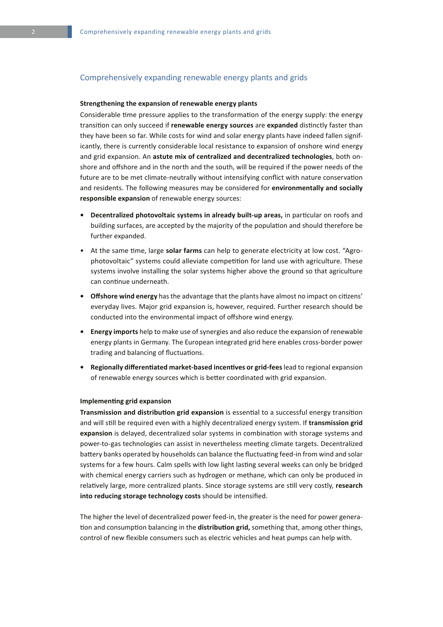## Comprehensively expanding renewable energy plants and grids

#### **Strengthening the expansion of renewable energy plants**

Considerable time pressure applies to the transformation of the energy supply: the energy transition can only succeed if **renewable energy sources** are **expanded** distinctly faster than they have been so far. While costs for wind and solar energy plants have indeed fallen significantly, there is currently considerable local resistance to expansion of onshore wind energy and grid expansion. An **astute mix of centralized and decentralized technologies**, both onshore and offshore and in the north and the south, will be required if the power needs of the future are to be met climate-neutrally without intensifying conflict with nature conservation and residents. The following measures may be considered for **environmentally and socially responsible expansion** of renewable energy sources:

- **• Decentralized photovoltaic systems in already built-up areas,** in particular on roofs and building surfaces, are accepted by the majority of the population and should therefore be further expanded.
- At the same time, large **solar farms** can help to generate electricity at low cost. "Agrophotovoltaic" systems could alleviate competition for land use with agriculture. These systems involve installing the solar systems higher above the ground so that agriculture can continue underneath.
- **• Offshore wind energy** has the advantage that the plants have almost no impact on citizens' everyday lives. Major grid expansion is, however, required. Further research should be conducted into the environmental impact of offshore wind energy.
- **• Energy imports** help to make use of synergies and also reduce the expansion of renewable energy plants in Germany. The European integrated grid here enables cross-border power trading and balancing of fluctuations.
- **• Regionally differentiated market-based incentives or grid-fees** lead to regional expansion of renewable energy sources which is better coordinated with grid expansion.

#### **Implementing grid expansion**

**Transmission and distribution grid expansion** is essential to a successful energy transition and will still be required even with a highly decentralized energy system. If **transmission grid expansion** is delayed, decentralized solar systems in combination with storage systems and power-to-gas technologies can assist in nevertheless meeting climate targets. Decentralized battery banks operated by households can balance the fluctuating feed-in from wind and solar systems for a few hours. Calm spells with low light lasting several weeks can only be bridged with chemical energy carriers such as hydrogen or methane, which can only be produced in relatively large, more centralized plants. Since storage systems are still very costly, **research into reducing storage technology costs** should be intensified.

The higher the level of decentralized power feed-in, the greater is the need for power generation and consumption balancing in the **distribution grid,** something that, among other things, control of new flexible consumers such as electric vehicles and heat pumps can help with.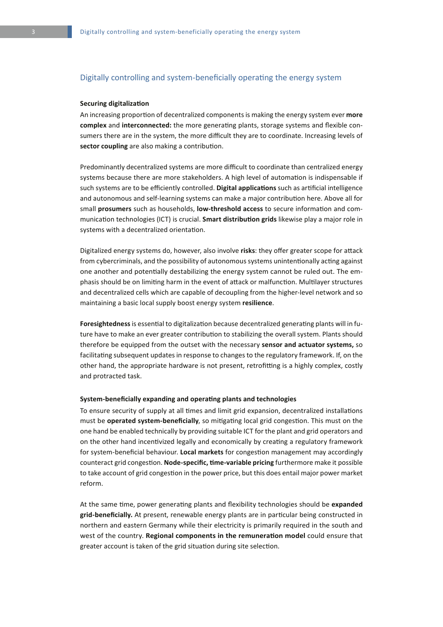## Digitally controlling and system-beneficially operating the energy system

#### **Securing digitalization**

An increasing proportion of decentralized components is making the energy system ever **more complex** and **interconnected:** the more generating plants, storage systems and flexible consumers there are in the system, the more difficult they are to coordinate. Increasing levels of **sector coupling** are also making a contribution.

Predominantly decentralized systems are more difficult to coordinate than centralized energy systems because there are more stakeholders. A high level of automation is indispensable if such systems are to be efficiently controlled. **Digital applications** such as artificial intelligence and autonomous and self-learning systems can make a major contribution here. Above all for small **prosumers** such as households, **low-threshold access** to secure information and communication technologies (ICT) is crucial. **Smart distribution grids** likewise play a major role in systems with a decentralized orientation.

Digitalized energy systems do, however, also involve **risks**: they offer greater scope for attack from cybercriminals, and the possibility of autonomous systems unintentionally acting against one another and potentially destabilizing the energy system cannot be ruled out. The emphasis should be on limiting harm in the event of attack or malfunction. Multilayer structures and decentralized cells which are capable of decoupling from the higher-level network and so maintaining a basic local supply boost energy system **resilience**.

**Foresightedness** is essential to digitalization because decentralized generating plants will in future have to make an ever greater contribution to stabilizing the overall system. Plants should therefore be equipped from the outset with the necessary **sensor and actuator systems,** so facilitating subsequent updates in response to changes to the regulatory framework. If, on the other hand, the appropriate hardware is not present, retrofitting is a highly complex, costly and protracted task.

#### **System-beneficially expanding and operating plants and technologies**

To ensure security of supply at all times and limit grid expansion, decentralized installations must be **operated system-beneficially**, so mitigating local grid congestion. This must on the one hand be enabled technically by providing suitable ICT for the plant and grid operators and on the other hand incentivized legally and economically by creating a regulatory framework for system-beneficial behaviour. **Local markets** for congestion management may accordingly counteract grid congestion. **Node-specific, time-variable pricing** furthermore make it possible to take account of grid congestion in the power price, but this does entail major power market reform.

At the same time, power generating plants and flexibility technologies should be **expanded grid-beneficially.** At present, renewable energy plants are in particular being constructed in northern and eastern Germany while their electricity is primarily required in the south and west of the country. **Regional components in the remuneration model** could ensure that greater account is taken of the grid situation during site selection.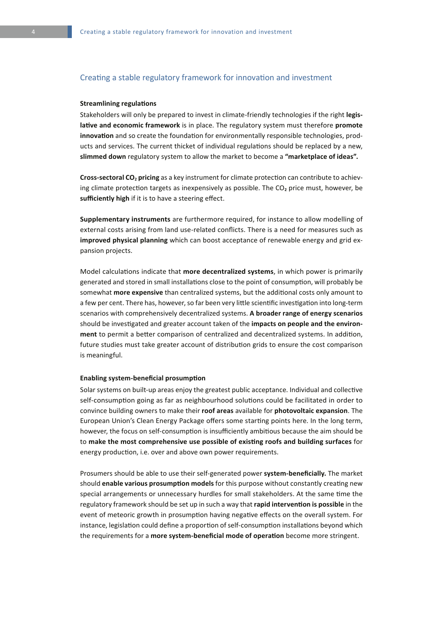## Creating a stable regulatory framework for innovation and investment

#### **Streamlining regulations**

Stakeholders will only be prepared to invest in climate-friendly technologies if the right **legislative and economic framework** is in place. The regulatory system must therefore **promote innovation** and so create the foundation for environmentally responsible technologies, products and services. The current thicket of individual regulations should be replaced by a new, **slimmed down** regulatory system to allow the market to become a **"marketplace of ideas".**

**Cross-sectoral CO2 pricing** as a key instrument for climate protection can contribute to achieving climate protection targets as inexpensively as possible. The CO<sub>2</sub> price must, however, be **sufficiently high** if it is to have a steering effect.

**Supplementary instruments** are furthermore required, for instance to allow modelling of external costs arising from land use-related conflicts. There is a need for measures such as **improved physical planning** which can boost acceptance of renewable energy and grid expansion projects.

Model calculations indicate that **more decentralized systems**, in which power is primarily generated and stored in small installations close to the point of consumption, will probably be somewhat **more expensive** than centralized systems, but the additional costs only amount to a few per cent. There has, however, so far been very little scientific investigation into long-term scenarios with comprehensively decentralized systems. **A broader range of energy scenarios**  should be investigated and greater account taken of the **impacts on people and the environment** to permit a better comparison of centralized and decentralized systems. In addition, future studies must take greater account of distribution grids to ensure the cost comparison is meaningful.

#### **Enabling system-beneficial prosumption**

Solar systems on built-up areas enjoy the greatest public acceptance. Individual and collective self-consumption going as far as neighbourhood solutions could be facilitated in order to convince building owners to make their **roof areas** available for **photovoltaic expansion**. The European Union's Clean Energy Package offers some starting points here. In the long term, however, the focus on self-consumption is insufficiently ambitious because the aim should be to **make the most comprehensive use possible of existing roofs and building surfaces** for energy production, i.e. over and above own power requirements.

Prosumers should be able to use their self-generated power **system-beneficially.** The market should **enable various prosumption models** for this purpose without constantly creating new special arrangements or unnecessary hurdles for small stakeholders. At the same time the regulatory framework should be set up in such a way that **rapid intervention is possible** in the event of meteoric growth in prosumption having negative effects on the overall system. For instance, legislation could define a proportion of self-consumption installations beyond which the requirements for a **more system-beneficial mode of operation** become more stringent.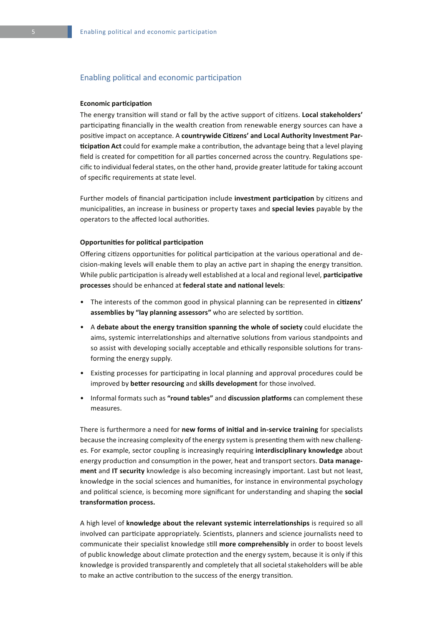## Enabling political and economic participation

#### **Economic participation**

The energy transition will stand or fall by the active support of citizens. **Local stakeholders'**  participating financially in the wealth creation from renewable energy sources can have a positive impact on acceptance. A **countrywide Citizens' and Local Authority Investment Participation Act** could for example make a contribution, the advantage being that a level playing field is created for competition for all parties concerned across the country. Regulations specific to individual federal states, on the other hand, provide greater latitude for taking account of specific requirements at state level.

Further models of financial participation include **investment participation** by citizens and municipalities, an increase in business or property taxes and **special levies** payable by the operators to the affected local authorities.

#### **Opportunities for political participation**

Offering citizens opportunities for political participation at the various operational and decision-making levels will enable them to play an active part in shaping the energy transition. While public participation is already well established at a local and regional level, **participative processes** should be enhanced at **federal state and national levels**:

- The interests of the common good in physical planning can be represented in **citizens' assemblies by "lay planning assessors"** who are selected by sortition.
- A **debate about the energy transition spanning the whole of society** could elucidate the aims, systemic interrelationships and alternative solutions from various standpoints and so assist with developing socially acceptable and ethically responsible solutions for transforming the energy supply.
- Existing processes for participating in local planning and approval procedures could be improved by **better resourcing** and **skills development** for those involved.
- Informal formats such as **"round tables"** and **discussion platforms** can complement these measures.

There is furthermore a need for **new forms of initial and in-service training** for specialists because the increasing complexity of the energy system is presenting them with new challenges. For example, sector coupling is increasingly requiring **interdisciplinary knowledge** about energy production and consumption in the power, heat and transport sectors. **Data management** and **IT security** knowledge is also becoming increasingly important. Last but not least, knowledge in the social sciences and humanities, for instance in environmental psychology and political science, is becoming more significant for understanding and shaping the **social transformation process.**

A high level of **knowledge about the relevant systemic interrelationships** is required so all involved can participate appropriately. Scientists, planners and science journalists need to communicate their specialist knowledge still **more comprehensibly** in order to boost levels of public knowledge about climate protection and the energy system, because it is only if this knowledge is provided transparently and completely that all societal stakeholders will be able to make an active contribution to the success of the energy transition.